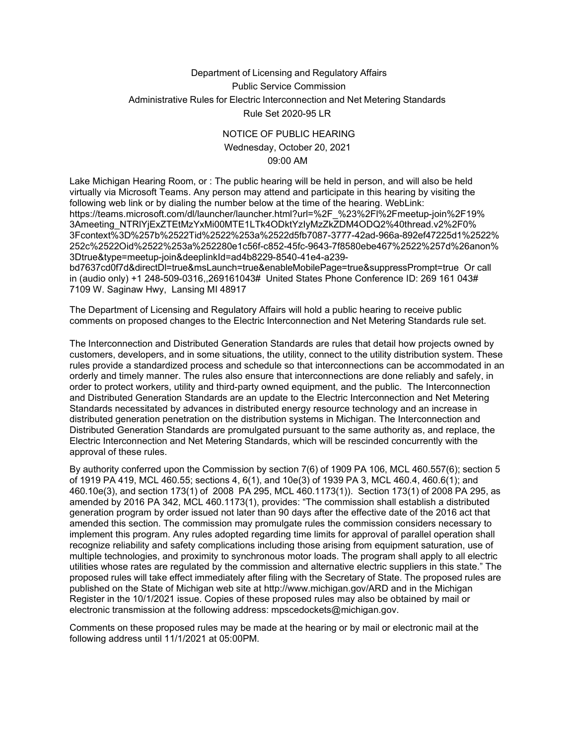## Department of Licensing and Regulatory Affairs Public Service Commission Administrative Rules for Electric Interconnection and Net Metering Standards Rule Set 2020-95 LR

## NOTICE OF PUBLIC HEARING Wednesday, October 20, 2021 09:00 AM

Lake Michigan Hearing Room, or : The public hearing will be held in person, and will also be held virtually via Microsoft Teams. Any person may attend and participate in this hearing by visiting the following web link or by dialing the number below at the time of the hearing. WebLink: https://teams.microsoft.com/dl/launcher/launcher.html?url=%2F\_%23%2Fl%2Fmeetup-join%2F19% 3Ameeting\_NTRlYjExZTEtMzYxMi00MTE1LTk4ODktYzIyMzZkZDM4ODQ2%40thread.v2%2F0% 3Fcontext%3D%257b%2522Tid%2522%253a%2522d5fb7087-3777-42ad-966a-892ef47225d1%2522% 252c%2522Oid%2522%253a%252280e1c56f-c852-45fc-9643-7f8580ebe467%2522%257d%26anon% 3Dtrue&type=meetup-join&deeplinkId=ad4b8229-8540-41e4-a239-

bd7637cd0f7d&directDl=true&msLaunch=true&enableMobilePage=true&suppressPrompt=true Or call in (audio only) +1 248-509-0316,,269161043# United States Phone Conference ID: 269 161 043# 7109 W. Saginaw Hwy, Lansing MI 48917

The Department of Licensing and Regulatory Affairs will hold a public hearing to receive public comments on proposed changes to the Electric Interconnection and Net Metering Standards rule set.

The Interconnection and Distributed Generation Standards are rules that detail how projects owned by customers, developers, and in some situations, the utility, connect to the utility distribution system. These rules provide a standardized process and schedule so that interconnections can be accommodated in an orderly and timely manner. The rules also ensure that interconnections are done reliably and safely, in order to protect workers, utility and third-party owned equipment, and the public. The Interconnection and Distributed Generation Standards are an update to the Electric Interconnection and Net Metering Standards necessitated by advances in distributed energy resource technology and an increase in distributed generation penetration on the distribution systems in Michigan. The Interconnection and Distributed Generation Standards are promulgated pursuant to the same authority as, and replace, the Electric Interconnection and Net Metering Standards, which will be rescinded concurrently with the approval of these rules.

By authority conferred upon the Commission by section 7(6) of 1909 PA 106, MCL 460.557(6); section 5 of 1919 PA 419, MCL 460.55; sections 4, 6(1), and 10e(3) of 1939 PA 3, MCL 460.4, 460.6(1); and 460.10e(3), and section 173(1) of 2008 PA 295, MCL 460.1173(1)). Section 173(1) of 2008 PA 295, as amended by 2016 PA 342, MCL 460.1173(1), provides: "The commission shall establish a distributed generation program by order issued not later than 90 days after the effective date of the 2016 act that amended this section. The commission may promulgate rules the commission considers necessary to implement this program. Any rules adopted regarding time limits for approval of parallel operation shall recognize reliability and safety complications including those arising from equipment saturation, use of multiple technologies, and proximity to synchronous motor loads. The program shall apply to all electric utilities whose rates are regulated by the commission and alternative electric suppliers in this state." The proposed rules will take effect immediately after filing with the Secretary of State. The proposed rules are published on the State of Michigan web site at [http://www.michigan.gov/ARD a](http://www.michigan.gov/ARD)nd in the Michigan Register in the 10/1/2021 issue. Copies of these proposed rules may also be obtained by mail or electronic transmission at the following address: [mpscedockets@michigan.gov.](mailto:mpscedockets@michigan.gov)

Comments on these proposed rules may be made at the hearing or by mail or electronic mail at the following address until 11/1/2021 at 05:00PM.